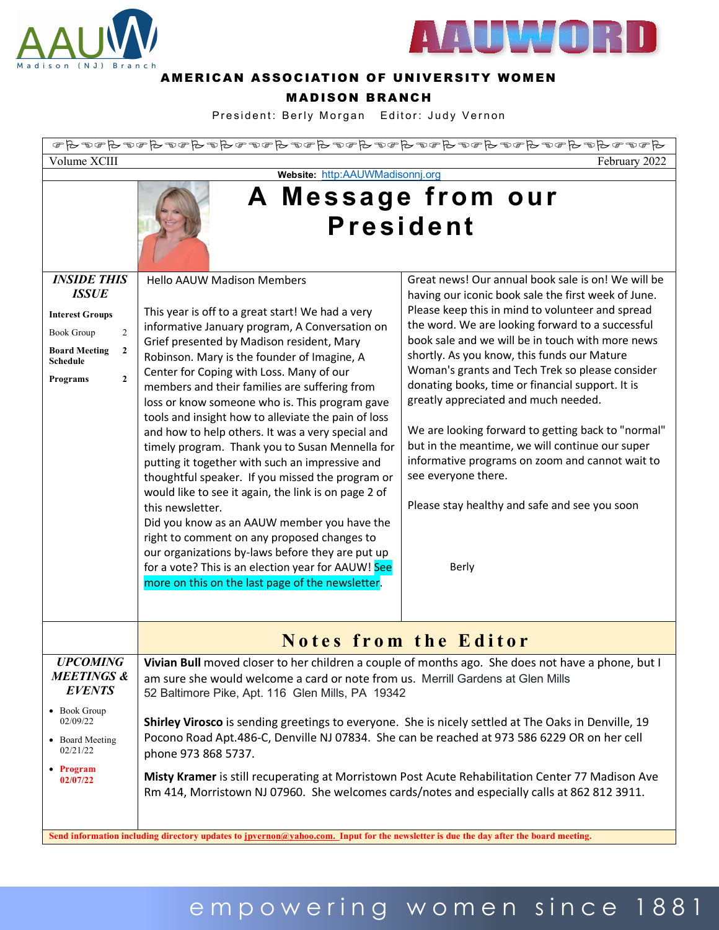



#### AMERICAN ASSOCIATION OF UNIVERSITY WOMEN

#### MADISON BRANCH

President: Berly Morgan Editor: Judy Vernon

| $A\circ\sigma\circ A\circ A\circ\sigma\circ A\circ\sigma\circ A\circ\sigma\circ A\circ\sigma\circ A\circ\sigma\circ A\circ\sigma\circ A\circ A\circ\sigma\circ A\circ\sigma$ |                                                                                                                                                                                                                                                                                                                                                                                                                                                                                                                                                                                                                                                                                                                                                                                                                                                                                                                                                                                                                                                                                                                                                                                                                                                                                                                                                                                                                                                                                                                                                                                                                           |  |  |  |  |
|------------------------------------------------------------------------------------------------------------------------------------------------------------------------------|---------------------------------------------------------------------------------------------------------------------------------------------------------------------------------------------------------------------------------------------------------------------------------------------------------------------------------------------------------------------------------------------------------------------------------------------------------------------------------------------------------------------------------------------------------------------------------------------------------------------------------------------------------------------------------------------------------------------------------------------------------------------------------------------------------------------------------------------------------------------------------------------------------------------------------------------------------------------------------------------------------------------------------------------------------------------------------------------------------------------------------------------------------------------------------------------------------------------------------------------------------------------------------------------------------------------------------------------------------------------------------------------------------------------------------------------------------------------------------------------------------------------------------------------------------------------------------------------------------------------------|--|--|--|--|
| Volume XCIII<br>February 2022                                                                                                                                                |                                                                                                                                                                                                                                                                                                                                                                                                                                                                                                                                                                                                                                                                                                                                                                                                                                                                                                                                                                                                                                                                                                                                                                                                                                                                                                                                                                                                                                                                                                                                                                                                                           |  |  |  |  |
| Website: http:AAUWMadisonnj.org                                                                                                                                              |                                                                                                                                                                                                                                                                                                                                                                                                                                                                                                                                                                                                                                                                                                                                                                                                                                                                                                                                                                                                                                                                                                                                                                                                                                                                                                                                                                                                                                                                                                                                                                                                                           |  |  |  |  |
| <b>INSIDE THIS</b>                                                                                                                                                           | A Message from our<br><b>President</b><br>Great news! Our annual book sale is on! We will be<br><b>Hello AAUW Madison Members</b>                                                                                                                                                                                                                                                                                                                                                                                                                                                                                                                                                                                                                                                                                                                                                                                                                                                                                                                                                                                                                                                                                                                                                                                                                                                                                                                                                                                                                                                                                         |  |  |  |  |
| <b>ISSUE</b><br><b>Interest Groups</b><br>$\overline{2}$<br><b>Book Group</b><br><b>Board Meeting</b><br>$\mathbf{2}$<br><b>Schedule</b><br>$\mathbf{2}$<br>Programs         | having our iconic book sale the first week of June.<br>Please keep this in mind to volunteer and spread<br>This year is off to a great start! We had a very<br>the word. We are looking forward to a successful<br>informative January program, A Conversation on<br>book sale and we will be in touch with more news<br>Grief presented by Madison resident, Mary<br>shortly. As you know, this funds our Mature<br>Robinson. Mary is the founder of Imagine, A<br>Woman's grants and Tech Trek so please consider<br>Center for Coping with Loss. Many of our<br>donating books, time or financial support. It is<br>members and their families are suffering from<br>greatly appreciated and much needed.<br>loss or know someone who is. This program gave<br>tools and insight how to alleviate the pain of loss<br>We are looking forward to getting back to "normal"<br>and how to help others. It was a very special and<br>but in the meantime, we will continue our super<br>timely program. Thank you to Susan Mennella for<br>informative programs on zoom and cannot wait to<br>putting it together with such an impressive and<br>see everyone there.<br>thoughtful speaker. If you missed the program or<br>would like to see it again, the link is on page 2 of<br>Please stay healthy and safe and see you soon<br>this newsletter.<br>Did you know as an AAUW member you have the<br>right to comment on any proposed changes to<br>our organizations by-laws before they are put up<br>for a vote? This is an election year for AAUW! See<br>Berly<br>more on this on the last page of the newsletter. |  |  |  |  |
|                                                                                                                                                                              | <b>Notes from the Editor</b>                                                                                                                                                                                                                                                                                                                                                                                                                                                                                                                                                                                                                                                                                                                                                                                                                                                                                                                                                                                                                                                                                                                                                                                                                                                                                                                                                                                                                                                                                                                                                                                              |  |  |  |  |
| <b>UPCOMING</b><br><b>MEETINGS &amp;</b><br><b>EVENTS</b><br>• Book Group<br>02/09/22<br>• Board Meeting<br>02/21/22<br>• Program<br>02/07/22                                | Vivian Bull moved closer to her children a couple of months ago. She does not have a phone, but I<br>am sure she would welcome a card or note from us. Merrill Gardens at Glen Mills<br>52 Baltimore Pike, Apt. 116 Glen Mills, PA 19342<br>Shirley Virosco is sending greetings to everyone. She is nicely settled at The Oaks in Denville, 19<br>Pocono Road Apt.486-C, Denville NJ 07834. She can be reached at 973 586 6229 OR on her cell<br>phone 973 868 5737.<br>Misty Kramer is still recuperating at Morristown Post Acute Rehabilitation Center 77 Madison Ave                                                                                                                                                                                                                                                                                                                                                                                                                                                                                                                                                                                                                                                                                                                                                                                                                                                                                                                                                                                                                                                 |  |  |  |  |
|                                                                                                                                                                              | Rm 414, Morristown NJ 07960. She welcomes cards/notes and especially calls at 862 812 3911.<br>Send information including directory updates to jpvernon@yahoo.com. Input for the newsletter is due the day after the board meeting.                                                                                                                                                                                                                                                                                                                                                                                                                                                                                                                                                                                                                                                                                                                                                                                                                                                                                                                                                                                                                                                                                                                                                                                                                                                                                                                                                                                       |  |  |  |  |

## empowering women since 188 1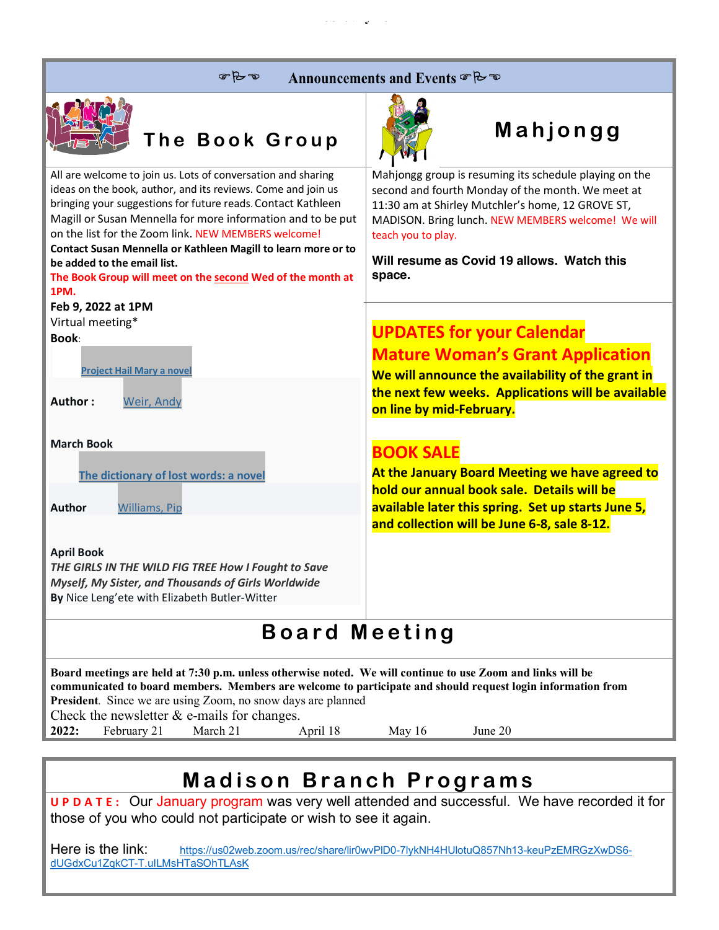| $P+2$ | Announcements and Events & B |  |  |
|-------|------------------------------|--|--|
|-------|------------------------------|--|--|

**February 2022**



# **The Book Group Mahjongg**

|                                                                                                                                                                                                                                                                                                                                                                                                                                                                                          | $\cdots$                                                                                                                                                                                                                                                                                             |  |  |  |
|------------------------------------------------------------------------------------------------------------------------------------------------------------------------------------------------------------------------------------------------------------------------------------------------------------------------------------------------------------------------------------------------------------------------------------------------------------------------------------------|------------------------------------------------------------------------------------------------------------------------------------------------------------------------------------------------------------------------------------------------------------------------------------------------------|--|--|--|
| All are welcome to join us. Lots of conversation and sharing<br>ideas on the book, author, and its reviews. Come and join us<br>bringing your suggestions for future reads. Contact Kathleen<br>Magill or Susan Mennella for more information and to be put<br>on the list for the Zoom link. NEW MEMBERS welcome!<br>Contact Susan Mennella or Kathleen Magill to learn more or to<br>be added to the email list.<br>The Book Group will meet on the second Wed of the month at<br>1PM. | Mahjongg group is resuming its schedule playing on the<br>second and fourth Monday of the month. We meet at<br>11:30 am at Shirley Mutchler's home, 12 GROVE ST,<br>MADISON. Bring lunch. NEW MEMBERS welcome! We will<br>teach you to play.<br>Will resume as Covid 19 allows. Watch this<br>space. |  |  |  |
| Feb 9, 2022 at 1PM                                                                                                                                                                                                                                                                                                                                                                                                                                                                       |                                                                                                                                                                                                                                                                                                      |  |  |  |
| Virtual meeting*                                                                                                                                                                                                                                                                                                                                                                                                                                                                         | <b>UPDATES for your Calendar</b>                                                                                                                                                                                                                                                                     |  |  |  |
| <b>Book:</b>                                                                                                                                                                                                                                                                                                                                                                                                                                                                             |                                                                                                                                                                                                                                                                                                      |  |  |  |
|                                                                                                                                                                                                                                                                                                                                                                                                                                                                                          | <b>Mature Woman's Grant Application</b>                                                                                                                                                                                                                                                              |  |  |  |
| <b>Project Hail Mary a novel</b>                                                                                                                                                                                                                                                                                                                                                                                                                                                         | We will announce the availability of the grant in                                                                                                                                                                                                                                                    |  |  |  |
| Author:<br>Weir, Andy                                                                                                                                                                                                                                                                                                                                                                                                                                                                    | the next few weeks. Applications will be available<br>on line by mid-February.                                                                                                                                                                                                                       |  |  |  |
| <b>March Book</b>                                                                                                                                                                                                                                                                                                                                                                                                                                                                        |                                                                                                                                                                                                                                                                                                      |  |  |  |
|                                                                                                                                                                                                                                                                                                                                                                                                                                                                                          | <b>BOOK SALE</b>                                                                                                                                                                                                                                                                                     |  |  |  |
| The dictionary of lost words: a novel                                                                                                                                                                                                                                                                                                                                                                                                                                                    | At the January Board Meeting we have agreed to                                                                                                                                                                                                                                                       |  |  |  |
|                                                                                                                                                                                                                                                                                                                                                                                                                                                                                          | hold our annual book sale. Details will be                                                                                                                                                                                                                                                           |  |  |  |
| Author<br><b>Williams, Pip</b>                                                                                                                                                                                                                                                                                                                                                                                                                                                           | available later this spring. Set up starts June 5,                                                                                                                                                                                                                                                   |  |  |  |
|                                                                                                                                                                                                                                                                                                                                                                                                                                                                                          | and collection will be June 6-8, sale 8-12.                                                                                                                                                                                                                                                          |  |  |  |
| <b>April Book</b>                                                                                                                                                                                                                                                                                                                                                                                                                                                                        |                                                                                                                                                                                                                                                                                                      |  |  |  |
| THE GIRLS IN THE WILD FIG TREE How I Fought to Save                                                                                                                                                                                                                                                                                                                                                                                                                                      |                                                                                                                                                                                                                                                                                                      |  |  |  |
| Myself, My Sister, and Thousands of Girls Worldwide                                                                                                                                                                                                                                                                                                                                                                                                                                      |                                                                                                                                                                                                                                                                                                      |  |  |  |
| By Nice Leng'ete with Elizabeth Butler-Witter                                                                                                                                                                                                                                                                                                                                                                                                                                            |                                                                                                                                                                                                                                                                                                      |  |  |  |
|                                                                                                                                                                                                                                                                                                                                                                                                                                                                                          |                                                                                                                                                                                                                                                                                                      |  |  |  |
| <b>Board Meeting</b>                                                                                                                                                                                                                                                                                                                                                                                                                                                                     |                                                                                                                                                                                                                                                                                                      |  |  |  |
| Board meetings are held at 7:30 p.m. unless otherwise noted. We will continue to use Zoom and links will be<br>communicated to board members. Members are welcome to participate and should request login information from<br>President. Since we are using Zoom, no snow days are planned<br>Check the newsletter $\&$ e-mails for changes.                                                                                                                                             |                                                                                                                                                                                                                                                                                                      |  |  |  |

**2022:** February 21 March 21 April 18 May 16 June 20

## **Madison Branch Programs**

**UPDATE:** Our January program was very well attended and successful. We have recorded it for those of you who could not participate or wish to see it again.

Here is the link: https://us02web.zoom.us/rec/share/lir0wvPlD0-7lykNH4HUlotuQ857Nh13-keuPzEMRGzXwDS6dUGdxCu1ZqkCT-T.uILMsHTaSOhTLAsK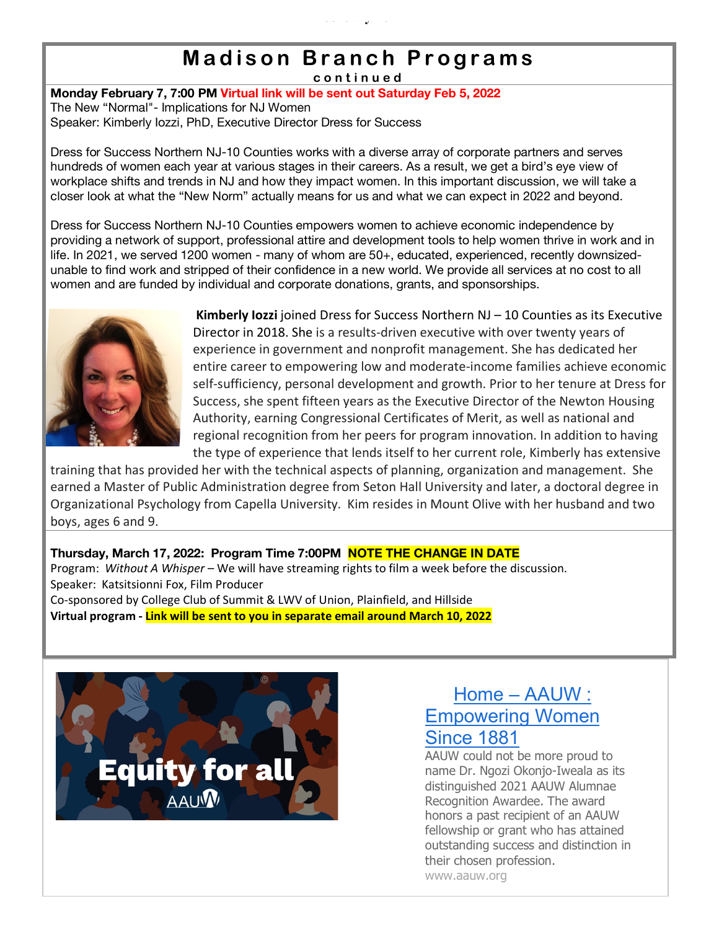## **Madison Branch Programs**

**February 2022**

**continued**

**Monday February 7, 7:00 PM Virtual link will be sent out Saturday Feb 5, 2022** The New "Normal"- Implications for NJ Women Speaker: Kimberly Iozzi, PhD, Executive Director Dress for Success

Dress for Success Northern NJ-10 Counties works with a diverse array of corporate partners and serves hundreds of women each year at various stages in their careers. As a result, we get a bird's eye view of workplace shifts and trends in NJ and how they impact women. In this important discussion, we will take a closer look at what the "New Norm" actually means for us and what we can expect in 2022 and beyond.

Dress for Success Northern NJ-10 Counties empowers women to achieve economic independence by providing a network of support, professional attire and development tools to help women thrive in work and in life. In 2021, we served 1200 women - many of whom are 50+, educated, experienced, recently downsizedunable to find work and stripped of their confidence in a new world. We provide all services at no cost to all women and are funded by individual and corporate donations, grants, and sponsorships.



**Kimberly Iozzi** joined Dress for Success Northern NJ – 10 Counties as its Executive Director in 2018. She is a results-driven executive with over twenty years of experience in government and nonprofit management. She has dedicated her entire career to empowering low and moderate-income families achieve economic self-sufficiency, personal development and growth. Prior to her tenure at Dress for Success, she spent fifteen years as the Executive Director of the Newton Housing Authority, earning Congressional Certificates of Merit, as well as national and regional recognition from her peers for program innovation. In addition to having the type of experience that lends itself to her current role, Kimberly has extensive

training that has provided her with the technical aspects of planning, organization and management. She earned a Master of Public Administration degree from Seton Hall University and later, a doctoral degree in Organizational Psychology from Capella University. Kim resides in Mount Olive with her husband and two boys, ages 6 and 9.

### **Thursday, March 17, 2022: Program Time 7:00PM NOTE THE CHANGE IN DATE**

Program: *Without A Whisper* – We will have streaming rights to film a week before the discussion. Speaker: Katsitsionni Fox, Film Producer Co-sponsored by College Club of Summit & LWV of Union, Plainfield, and Hillside **Virtual program - Link will be sent to you in separate email around March 10, 2022**



### Home – AAUW : Empowering Women Since 1881

AAUW could not be more proud to name Dr. Ngozi Okonjo-Iweala as its distinguished 2021 AAUW Alumnae Recognition Awardee. The award honors a past recipient of an AAUW fellowship or grant who has attained outstanding success and distinction in their chosen profession. www.aauw.org